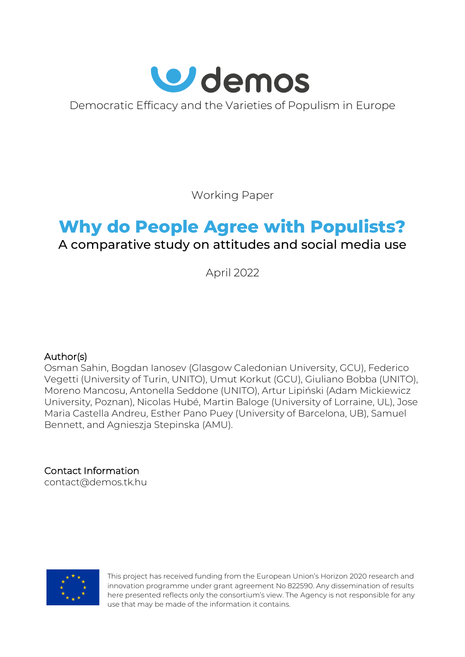

Democratic Efficacy and the Varieties of Populism in Europe

Working Paper

# **Why do People Agree with Populists?** A comparative study on attitudes and social media use

April 2022

# Author(s)

Osman Sahin, Bogdan Ianosev (Glasgow Caledonian University, GCU), Federico Vegetti (University of Turin, UNITO), Umut Korkut (GCU), Giuliano Bobba (UNITO), Moreno Mancosu, Antonella Seddone (UNITO), Artur Lipiński (Adam Mickiewicz University, Poznan), Nicolas Hubé, Martin Baloge (University of Lorraine, UL), Jose Maria Castella Andreu, Esther Pano Puey (University of Barcelona, UB), Samuel Bennett, and Agnieszja Stepinska (AMU).

Contact Information [contact@demos.tk.hu](mailto:contact@demos.tk.hu)



This project has received funding from the European Union's Horizon 2020 research and innovation programme under grant agreement No 822590. Any dissemination of results here presented reflects only the consortium's view. The Agency is not responsible for any use that may be made of the information it contains.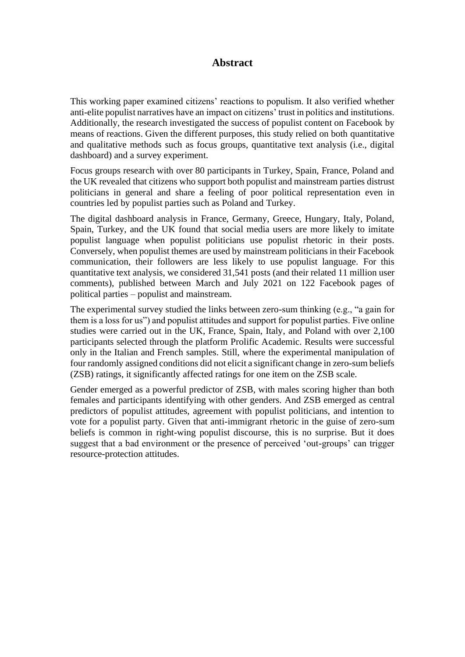# **Abstract**

This working paper examined citizens' reactions to populism. It also verified whether anti-elite populist narratives have an impact on citizens' trust in politics and institutions. Additionally, the research investigated the success of populist content on Facebook by means of reactions. Given the different purposes, this study relied on both quantitative and qualitative methods such as focus groups, quantitative text analysis (i.e., digital dashboard) and a survey experiment.

Focus groups research with over 80 participants in Turkey, Spain, France, Poland and the UK revealed that citizens who support both populist and mainstream parties distrust politicians in general and share a feeling of poor political representation even in countries led by populist parties such as Poland and Turkey.

The digital dashboard analysis in France, Germany, Greece, Hungary, Italy, Poland, Spain, Turkey, and the UK found that social media users are more likely to imitate populist language when populist politicians use populist rhetoric in their posts. Conversely, when populist themes are used by mainstream politicians in their Facebook communication, their followers are less likely to use populist language. For this quantitative text analysis, we considered 31,541 posts (and their related 11 million user comments), published between March and July 2021 on 122 Facebook pages of political parties – populist and mainstream.

The experimental survey studied the links between zero-sum thinking (e.g., "a gain for them is a loss for us") and populist attitudes and support for populist parties. Five online studies were carried out in the UK, France, Spain, Italy, and Poland with over 2,100 participants selected through the platform Prolific Academic. Results were successful only in the Italian and French samples. Still, where the experimental manipulation of four randomly assigned conditions did not elicit a significant change in zero-sum beliefs (ZSB) ratings, it significantly affected ratings for one item on the ZSB scale.

Gender emerged as a powerful predictor of ZSB, with males scoring higher than both females and participants identifying with other genders. And ZSB emerged as central predictors of populist attitudes, agreement with populist politicians, and intention to vote for a populist party. Given that anti-immigrant rhetoric in the guise of zero-sum beliefs is common in right-wing populist discourse, this is no surprise. But it does suggest that a bad environment or the presence of perceived 'out-groups' can trigger resource-protection attitudes.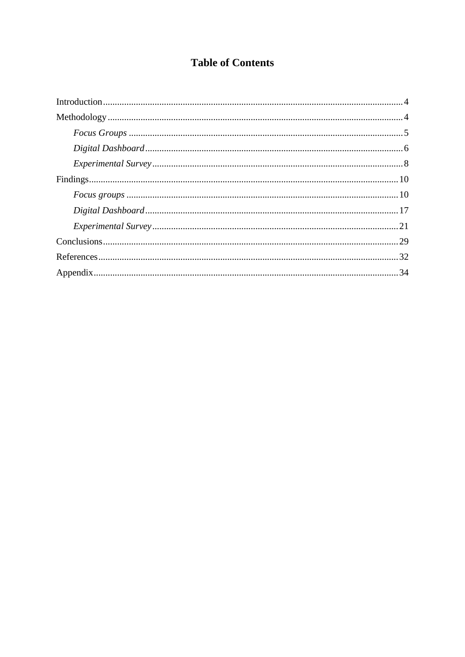# **Table of Contents**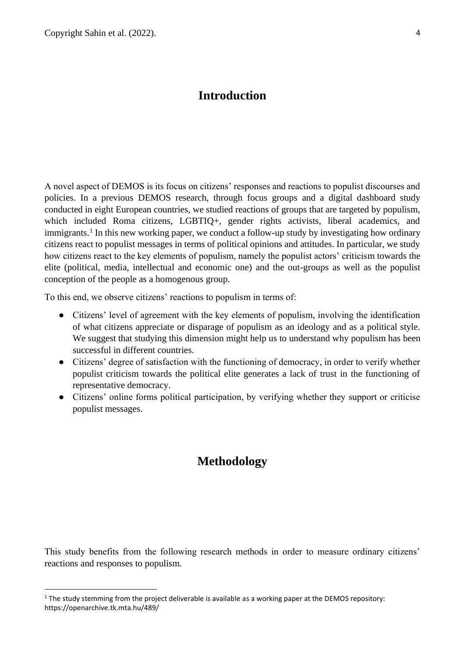# **Introduction**

<span id="page-3-0"></span>A novel aspect of DEMOS is its focus on citizens' responses and reactions to populist discourses and policies. In a previous DEMOS research, through focus groups and a digital dashboard study conducted in eight European countries, we studied reactions of groups that are targeted by populism, which included Roma citizens, LGBTIQ+, gender rights activists, liberal academics, and immigrants.<sup>1</sup> In this new working paper, we conduct a follow-up study by investigating how ordinary citizens react to populist messages in terms of political opinions and attitudes. In particular, we study how citizens react to the key elements of populism, namely the populist actors' criticism towards the elite (political, media, intellectual and economic one) and the out-groups as well as the populist conception of the people as a homogenous group.

To this end, we observe citizens' reactions to populism in terms of:

- Citizens' level of agreement with the key elements of populism, involving the identification of what citizens appreciate or disparage of populism as an ideology and as a political style. We suggest that studying this dimension might help us to understand why populism has been successful in different countries.
- Citizens' degree of satisfaction with the functioning of democracy, in order to verify whether populist criticism towards the political elite generates a lack of trust in the functioning of representative democracy.
- <span id="page-3-1"></span>• Citizens' online forms political participation, by verifying whether they support or criticise populist messages.

# **Methodology**

This study benefits from the following research methods in order to measure ordinary citizens' reactions and responses to populism.

<sup>&</sup>lt;sup>1</sup> The study stemming from the project deliverable is available as a working paper at the DEMOS repository: https://openarchive.tk.mta.hu/489/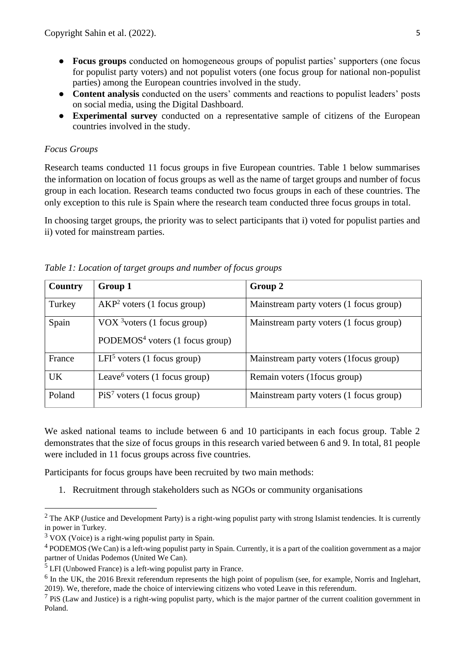- **Focus groups** conducted on homogeneous groups of populist parties' supporters (one focus for populist party voters) and not populist voters (one focus group for national non-populist parties) among the European countries involved in the study.
- **Content analysis** conducted on the users' comments and reactions to populist leaders' posts on social media, using the Digital Dashboard.
- **Experimental survey** conducted on a representative sample of citizens of the European countries involved in the study.

# <span id="page-4-0"></span>*Focus Groups*

Research teams conducted 11 focus groups in five European countries. Table 1 below summarises the information on location of focus groups as well as the name of target groups and number of focus group in each location. Research teams conducted two focus groups in each of these countries. The only exception to this rule is Spain where the research team conducted three focus groups in total.

In choosing target groups, the priority was to select participants that i) voted for populist parties and ii) voted for mainstream parties.

| Country   | Group 1                                                                       | Group 2                                 |
|-----------|-------------------------------------------------------------------------------|-----------------------------------------|
| Turkey    | $AKP2$ voters (1 focus group)                                                 | Mainstream party voters (1 focus group) |
| Spain     | VOX $3$ voters (1 focus group)<br>PODEMOS <sup>4</sup> voters (1 focus group) | Mainstream party voters (1 focus group) |
| France    | $LFI5$ voters (1 focus group)                                                 | Mainstream party voters (1focus group)  |
| <b>UK</b> | Leave <sup>6</sup> voters (1 focus group)                                     | Remain voters (1 focus group)           |
| Poland    | $Pi S7$ voters (1 focus group)                                                | Mainstream party voters (1 focus group) |

*Table 1: Location of target groups and number of focus groups*

We asked national teams to include between 6 and 10 participants in each focus group. Table 2 demonstrates that the size of focus groups in this research varied between 6 and 9. In total, 81 people were included in 11 focus groups across five countries.

Participants for focus groups have been recruited by two main methods:

1. Recruitment through stakeholders such as NGOs or community organisations

 $2$  The AKP (Justice and Development Party) is a right-wing populist party with strong Islamist tendencies. It is currently in power in Turkey.

 $3$  VOX (Voice) is a right-wing populist party in Spain.

 $4$  PODEMOS (We Can) is a left-wing populist party in Spain. Currently, it is a part of the coalition government as a major partner of Unidas Podemos (United We Can).

<sup>5</sup> LFI (Unbowed France) is a left-wing populist party in France.

 $<sup>6</sup>$  In the UK, the 2016 Brexit referendum represents the high point of populism (see, for example, Norris and Inglehart,</sup> 2019). We, therefore, made the choice of interviewing citizens who voted Leave in this referendum.

 $<sup>7</sup>$  PiS (Law and Justice) is a right-wing populist party, which is the major partner of the current coalition government in</sup> Poland.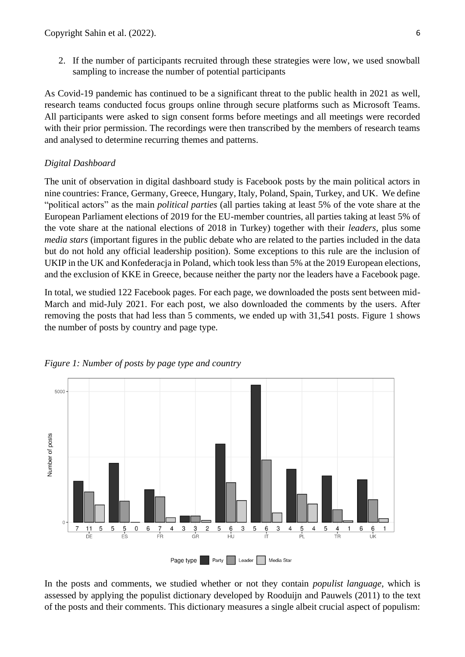2. If the number of participants recruited through these strategies were low, we used snowball sampling to increase the number of potential participants

As Covid-19 pandemic has continued to be a significant threat to the public health in 2021 as well, research teams conducted focus groups online through secure platforms such as Microsoft Teams. All participants were asked to sign consent forms before meetings and all meetings were recorded with their prior permission. The recordings were then transcribed by the members of research teams and analysed to determine recurring themes and patterns.

### <span id="page-5-0"></span>*Digital Dashboard*

The unit of observation in digital dashboard study is Facebook posts by the main political actors in nine countries: France, Germany, Greece, Hungary, Italy, Poland, Spain, Turkey, and UK. We define "political actors" as the main *political parties* (all parties taking at least 5% of the vote share at the European Parliament elections of 2019 for the EU-member countries, all parties taking at least 5% of the vote share at the national elections of 2018 in Turkey) together with their *leaders*, plus some *media stars* (important figures in the public debate who are related to the parties included in the data but do not hold any official leadership position). Some exceptions to this rule are the inclusion of UKIP in the UK and Konfederacja in Poland, which took less than 5% at the 2019 European elections, and the exclusion of KKE in Greece, because neither the party nor the leaders have a Facebook page.

In total, we studied 122 Facebook pages. For each page, we downloaded the posts sent between mid-March and mid-July 2021. For each post, we also downloaded the comments by the users. After removing the posts that had less than 5 comments, we ended up with 31,541 posts. Figure 1 shows the number of posts by country and page type.



#### *Figure 1: Number of posts by page type and country*

In the posts and comments, we studied whether or not they contain *populist language*, which is assessed by applying the populist dictionary developed by Rooduijn and Pauwels (2011) to the text of the posts and their comments. This dictionary measures a single albeit crucial aspect of populism: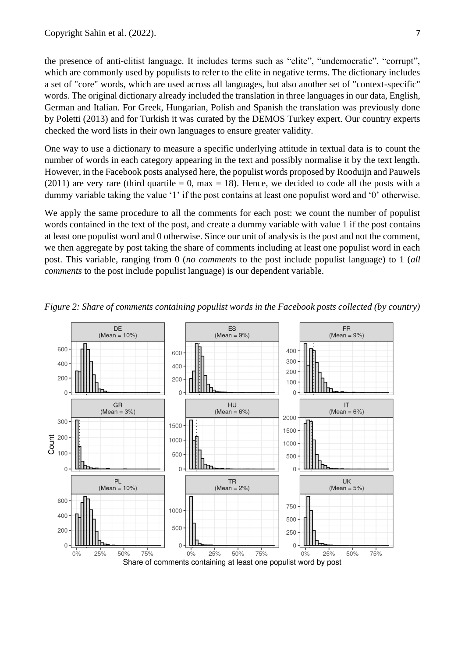the presence of anti-elitist language. It includes terms such as "elite", "undemocratic", "corrupt", which are commonly used by populists to refer to the elite in negative terms. The dictionary includes a set of "core" words, which are used across all languages, but also another set of "context-specific" words. The original dictionary already included the translation in three languages in our data, English, German and Italian. For Greek, Hungarian, Polish and Spanish the translation was previously done by Poletti (2013) and for Turkish it was curated by the DEMOS Turkey expert. Our country experts checked the word lists in their own languages to ensure greater validity.

One way to use a dictionary to measure a specific underlying attitude in textual data is to count the number of words in each category appearing in the text and possibly normalise it by the text length. However, in the Facebook posts analysed here, the populist words proposed by Rooduijn and Pauwels (2011) are very rare (third quartile  $= 0$ , max  $= 18$ ). Hence, we decided to code all the posts with a dummy variable taking the value '1' if the post contains at least one populist word and '0' otherwise.

We apply the same procedure to all the comments for each post: we count the number of populist words contained in the text of the post, and create a dummy variable with value 1 if the post contains at least one populist word and 0 otherwise. Since our unit of analysis is the post and not the comment, we then aggregate by post taking the share of comments including at least one populist word in each post. This variable, ranging from 0 (*no comments* to the post include populist language) to 1 (*all comments* to the post include populist language) is our dependent variable.



*Figure 2: Share of comments containing populist words in the Facebook posts collected (by country)*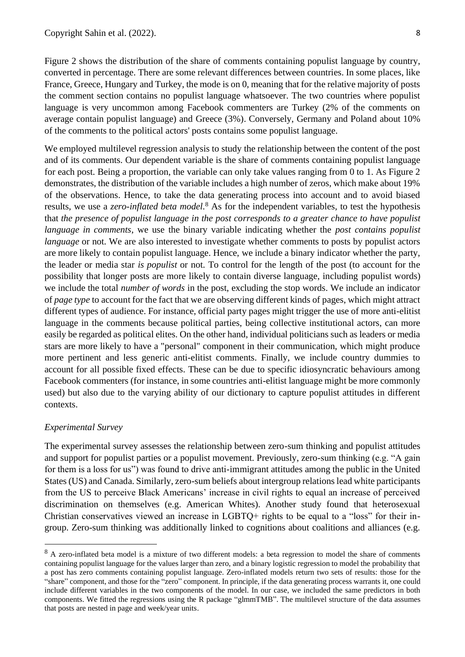Figure 2 shows the distribution of the share of comments containing populist language by country, converted in percentage. There are some relevant differences between countries. In some places, like France, Greece, Hungary and Turkey, the mode is on 0, meaning that for the relative majority of posts the comment section contains no populist language whatsoever. The two countries where populist language is very uncommon among Facebook commenters are Turkey (2% of the comments on average contain populist language) and Greece (3%). Conversely, Germany and Poland about 10% of the comments to the political actors' posts contains some populist language.

We employed multilevel regression analysis to study the relationship between the content of the post and of its comments. Our dependent variable is the share of comments containing populist language for each post. Being a proportion, the variable can only take values ranging from 0 to 1. As Figure 2 demonstrates, the distribution of the variable includes a high number of zeros, which make about 19% of the observations. Hence, to take the data generating process into account and to avoid biased results, we use a *zero-inflated beta model*. <sup>8</sup> As for the independent variables, to test the hypothesis that *the presence of populist language in the post corresponds to a greater chance to have populist language in comments*, we use the binary variable indicating whether the *post contains populist language* or not. We are also interested to investigate whether comments to posts by populist actors are more likely to contain populist language. Hence, we include a binary indicator whether the party, the leader or media star *is populist* or not. To control for the length of the post (to account for the possibility that longer posts are more likely to contain diverse language, including populist words) we include the total *number of words* in the post, excluding the stop words. We include an indicator of *page type* to account for the fact that we are observing different kinds of pages, which might attract different types of audience. For instance, official party pages might trigger the use of more anti-elitist language in the comments because political parties, being collective institutional actors, can more easily be regarded as political elites. On the other hand, individual politicians such as leaders or media stars are more likely to have a "personal" component in their communication, which might produce more pertinent and less generic anti-elitist comments. Finally, we include country dummies to account for all possible fixed effects. These can be due to specific idiosyncratic behaviours among Facebook commenters (for instance, in some countries anti-elitist language might be more commonly used) but also due to the varying ability of our dictionary to capture populist attitudes in different contexts.

#### <span id="page-7-0"></span>*Experimental Survey*

The experimental survey assesses the relationship between zero-sum thinking and populist attitudes and support for populist parties or a populist movement. Previously, zero-sum thinking (e.g. "A gain for them is a loss for us") was found to drive anti-immigrant attitudes among the public in the United States (US) and Canada. Similarly, zero-sum beliefs about intergroup relations lead white participants from the US to perceive Black Americans' increase in civil rights to equal an increase of perceived discrimination on themselves (e.g. American Whites). Another study found that heterosexual Christian conservatives viewed an increase in LGBTQ+ rights to be equal to a "loss" for their ingroup. Zero-sum thinking was additionally linked to cognitions about coalitions and alliances (e.g.

<sup>&</sup>lt;sup>8</sup> A zero-inflated beta model is a mixture of two different models: a beta regression to model the share of comments containing populist language for the values larger than zero, and a binary logistic regression to model the probability that a post has zero comments containing populist language. Zero-inflated models return two sets of results: those for the "share" component, and those for the "zero" component. In principle, if the data generating process warrants it, one could include different variables in the two components of the model. In our case, we included the same predictors in both components. We fitted the regressions using the R package "glmmTMB". The multilevel structure of the data assumes that posts are nested in page and week/year units.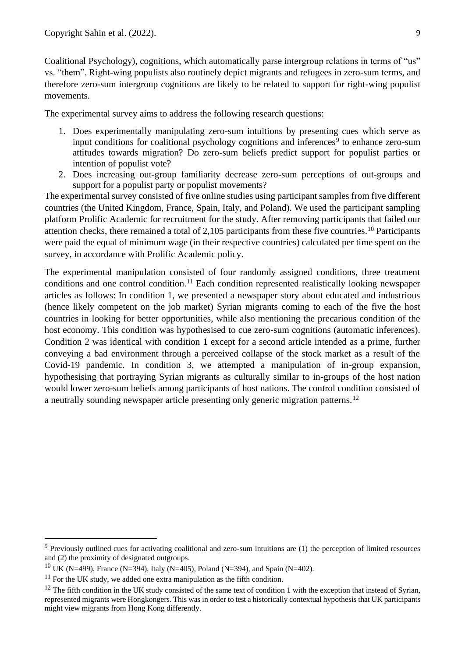Coalitional Psychology), cognitions, which automatically parse intergroup relations in terms of "us" vs. "them". Right-wing populists also routinely depict migrants and refugees in zero-sum terms, and therefore zero-sum intergroup cognitions are likely to be related to support for right-wing populist movements.

The experimental survey aims to address the following research questions:

- 1. Does experimentally manipulating zero-sum intuitions by presenting cues which serve as input conditions for coalitional psychology cognitions and inferences<sup>9</sup> to enhance zero-sum attitudes towards migration? Do zero-sum beliefs predict support for populist parties or intention of populist vote?
- 2. Does increasing out-group familiarity decrease zero-sum perceptions of out-groups and support for a populist party or populist movements?

The experimental survey consisted of five online studies using participant samples from five different countries (the United Kingdom, France, Spain, Italy, and Poland). We used the participant sampling platform Prolific Academic for recruitment for the study. After removing participants that failed our attention checks, there remained a total of 2,105 participants from these five countries.<sup>10</sup> Participants were paid the equal of minimum wage (in their respective countries) calculated per time spent on the survey, in accordance with Prolific Academic policy.

The experimental manipulation consisted of four randomly assigned conditions, three treatment conditions and one control condition.<sup>11</sup> Each condition represented realistically looking newspaper articles as follows: In condition 1, we presented a newspaper story about educated and industrious (hence likely competent on the job market) Syrian migrants coming to each of the five the host countries in looking for better opportunities, while also mentioning the precarious condition of the host economy. This condition was hypothesised to cue zero-sum cognitions (automatic inferences). Condition 2 was identical with condition 1 except for a second article intended as a prime, further conveying a bad environment through a perceived collapse of the stock market as a result of the Covid-19 pandemic. In condition 3, we attempted a manipulation of in-group expansion, hypothesising that portraying Syrian migrants as culturally similar to in-groups of the host nation would lower zero-sum beliefs among participants of host nations. The control condition consisted of a neutrally sounding newspaper article presenting only generic migration patterns.<sup>12</sup>

<sup>&</sup>lt;sup>9</sup> Previously outlined cues for activating coalitional and zero-sum intuitions are (1) the perception of limited resources and (2) the proximity of designated outgroups.

<sup>&</sup>lt;sup>10</sup> UK (N=499), France (N=394), Italy (N=405), Poland (N=394), and Spain (N=402).

 $11$  For the UK study, we added one extra manipulation as the fifth condition.

 $12$  The fifth condition in the UK study consisted of the same text of condition 1 with the exception that instead of Syrian, represented migrants were Hongkongers. This was in order to test a historically contextual hypothesis that UK participants might view migrants from Hong Kong differently.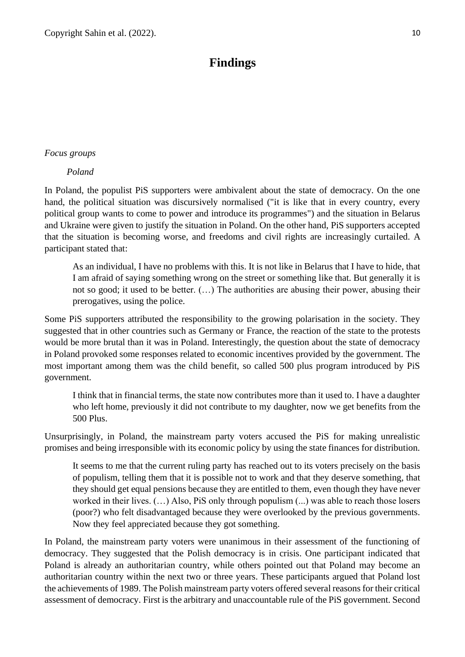# **Findings**

### <span id="page-9-1"></span><span id="page-9-0"></span>*Focus groups*

*Poland*

In Poland, the populist PiS supporters were ambivalent about the state of democracy. On the one hand, the political situation was discursively normalised ("it is like that in every country, every political group wants to come to power and introduce its programmes") and the situation in Belarus and Ukraine were given to justify the situation in Poland. On the other hand, PiS supporters accepted that the situation is becoming worse, and freedoms and civil rights are increasingly curtailed. A participant stated that:

As an individual, I have no problems with this. It is not like in Belarus that I have to hide, that I am afraid of saying something wrong on the street or something like that. But generally it is not so good; it used to be better. (…) The authorities are abusing their power, abusing their prerogatives, using the police.

Some PiS supporters attributed the responsibility to the growing polarisation in the society. They suggested that in other countries such as Germany or France, the reaction of the state to the protests would be more brutal than it was in Poland. Interestingly, the question about the state of democracy in Poland provoked some responses related to economic incentives provided by the government. The most important among them was the child benefit, so called 500 plus program introduced by PiS government.

I think that in financial terms, the state now contributes more than it used to. I have a daughter who left home, previously it did not contribute to my daughter, now we get benefits from the 500 Plus.

Unsurprisingly, in Poland, the mainstream party voters accused the PiS for making unrealistic promises and being irresponsible with its economic policy by using the state finances for distribution.

It seems to me that the current ruling party has reached out to its voters precisely on the basis of populism, telling them that it is possible not to work and that they deserve something, that they should get equal pensions because they are entitled to them, even though they have never worked in their lives. (…) Also, PiS only through populism (...) was able to reach those losers (poor?) who felt disadvantaged because they were overlooked by the previous governments. Now they feel appreciated because they got something.

In Poland, the mainstream party voters were unanimous in their assessment of the functioning of democracy. They suggested that the Polish democracy is in crisis. One participant indicated that Poland is already an authoritarian country, while others pointed out that Poland may become an authoritarian country within the next two or three years. These participants argued that Poland lost the achievements of 1989. The Polish mainstream party voters offered several reasons for their critical assessment of democracy. First is the arbitrary and unaccountable rule of the PiS government. Second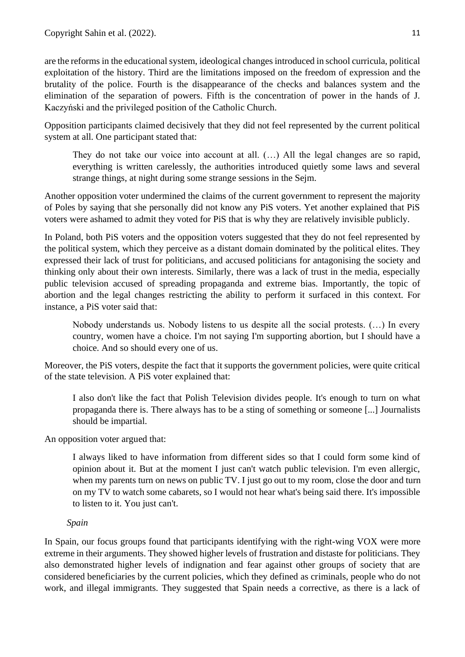are the reforms in the educational system, ideological changes introduced in school curricula, political exploitation of the history. Third are the limitations imposed on the freedom of expression and the brutality of the police. Fourth is the disappearance of the checks and balances system and the elimination of the separation of powers. Fifth is the concentration of power in the hands of J. Kaczyński and the privileged position of the Catholic Church.

Opposition participants claimed decisively that they did not feel represented by the current political system at all. One participant stated that:

They do not take our voice into account at all. (…) All the legal changes are so rapid, everything is written carelessly, the authorities introduced quietly some laws and several strange things, at night during some strange sessions in the Sejm.

Another opposition voter undermined the claims of the current government to represent the majority of Poles by saying that she personally did not know any PiS voters. Yet another explained that PiS voters were ashamed to admit they voted for PiS that is why they are relatively invisible publicly.

In Poland, both PiS voters and the opposition voters suggested that they do not feel represented by the political system, which they perceive as a distant domain dominated by the political elites. They expressed their lack of trust for politicians, and accused politicians for antagonising the society and thinking only about their own interests. Similarly, there was a lack of trust in the media, especially public television accused of spreading propaganda and extreme bias. Importantly, the topic of abortion and the legal changes restricting the ability to perform it surfaced in this context. For instance, a PiS voter said that:

Nobody understands us. Nobody listens to us despite all the social protests. (…) In every country, women have a choice. I'm not saying I'm supporting abortion, but I should have a choice. And so should every one of us.

Moreover, the PiS voters, despite the fact that it supports the government policies, were quite critical of the state television. A PiS voter explained that:

I also don't like the fact that Polish Television divides people. It's enough to turn on what propaganda there is. There always has to be a sting of something or someone [...] Journalists should be impartial.

An opposition voter argued that:

I always liked to have information from different sides so that I could form some kind of opinion about it. But at the moment I just can't watch public television. I'm even allergic, when my parents turn on news on public TV. I just go out to my room, close the door and turn on my TV to watch some cabarets, so I would not hear what's being said there. It's impossible to listen to it. You just can't.

# *Spain*

In Spain, our focus groups found that participants identifying with the right-wing VOX were more extreme in their arguments. They showed higher levels of frustration and distaste for politicians. They also demonstrated higher levels of indignation and fear against other groups of society that are considered beneficiaries by the current policies, which they defined as criminals, people who do not work, and illegal immigrants. They suggested that Spain needs a corrective, as there is a lack of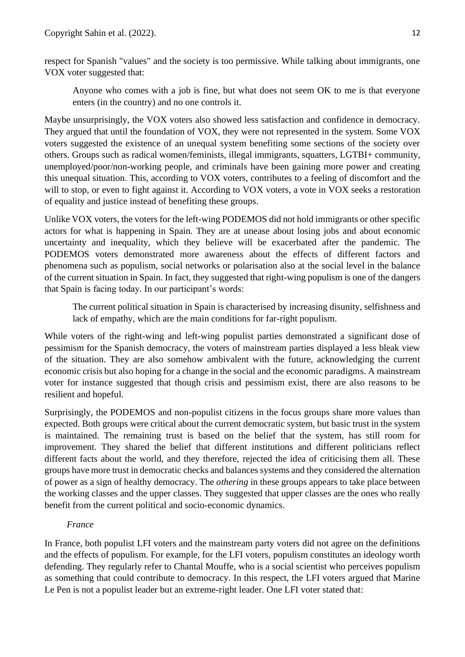respect for Spanish "values" and the society is too permissive. While talking about immigrants, one VOX voter suggested that:

Anyone who comes with a job is fine, but what does not seem OK to me is that everyone enters (in the country) and no one controls it.

Maybe unsurprisingly, the VOX voters also showed less satisfaction and confidence in democracy. They argued that until the foundation of VOX, they were not represented in the system. Some VOX voters suggested the existence of an unequal system benefiting some sections of the society over others. Groups such as radical women/feminists, illegal immigrants, squatters, LGTBI+ community, unemployed/poor/non-working people, and criminals have been gaining more power and creating this unequal situation. This, according to VOX voters, contributes to a feeling of discomfort and the will to stop, or even to fight against it. According to VOX voters, a vote in VOX seeks a restoration of equality and justice instead of benefiting these groups.

Unlike VOX voters, the voters for the left-wing PODEMOS did not hold immigrants or other specific actors for what is happening in Spain. They are at unease about losing jobs and about economic uncertainty and inequality, which they believe will be exacerbated after the pandemic. The PODEMOS voters demonstrated more awareness about the effects of different factors and phenomena such as populism, social networks or polarisation also at the social level in the balance of the current situation in Spain. In fact, they suggested that right-wing populism is one of the dangers that Spain is facing today. In our participant's words:

The current political situation in Spain is characterised by increasing disunity, selfishness and lack of empathy, which are the main conditions for far-right populism.

While voters of the right-wing and left-wing populist parties demonstrated a significant dose of pessimism for the Spanish democracy, the voters of mainstream parties displayed a less bleak view of the situation. They are also somehow ambivalent with the future, acknowledging the current economic crisis but also hoping for a change in the social and the economic paradigms. A mainstream voter for instance suggested that though crisis and pessimism exist, there are also reasons to be resilient and hopeful.

Surprisingly, the PODEMOS and non-populist citizens in the focus groups share more values than expected. Both groups were critical about the current democratic system, but basic trust in the system is maintained. The remaining trust is based on the belief that the system, has still room for improvement. They shared the belief that different institutions and different politicians reflect different facts about the world, and they therefore, rejected the idea of criticising them all. These groups have more trust in democratic checks and balances systems and they considered the alternation of power as a sign of healthy democracy. The *othering* in these groups appears to take place between the working classes and the upper classes. They suggested that upper classes are the ones who really benefit from the current political and socio-economic dynamics.

# *France*

In France, both populist LFI voters and the mainstream party voters did not agree on the definitions and the effects of populism. For example, for the LFI voters, populism constitutes an ideology worth defending. They regularly refer to Chantal Mouffe, who is a social scientist who perceives populism as something that could contribute to democracy. In this respect, the LFI voters argued that Marine Le Pen is not a populist leader but an extreme-right leader. One LFI voter stated that: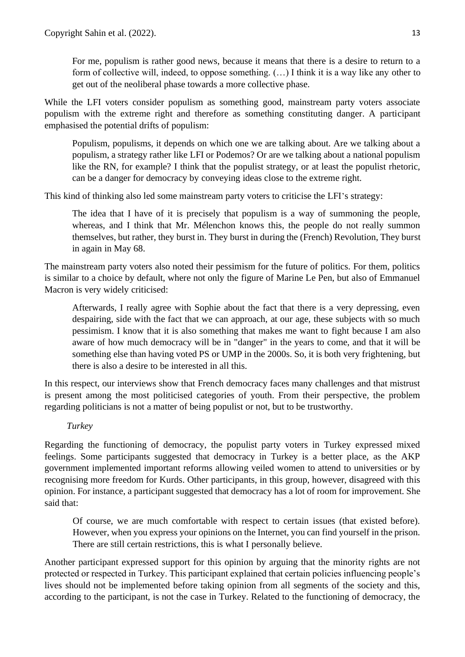For me, populism is rather good news, because it means that there is a desire to return to a form of collective will, indeed, to oppose something. (…) I think it is a way like any other to get out of the neoliberal phase towards a more collective phase.

While the LFI voters consider populism as something good, mainstream party voters associate populism with the extreme right and therefore as something constituting danger. A participant emphasised the potential drifts of populism:

Populism, populisms, it depends on which one we are talking about. Are we talking about a populism, a strategy rather like LFI or Podemos? Or are we talking about a national populism like the RN, for example? I think that the populist strategy, or at least the populist rhetoric, can be a danger for democracy by conveying ideas close to the extreme right.

This kind of thinking also led some mainstream party voters to criticise the LFI's strategy:

The idea that I have of it is precisely that populism is a way of summoning the people, whereas, and I think that Mr. Mélenchon knows this, the people do not really summon themselves, but rather, they burst in. They burst in during the (French) Revolution, They burst in again in May 68.

The mainstream party voters also noted their pessimism for the future of politics. For them, politics is similar to a choice by default, where not only the figure of Marine Le Pen, but also of Emmanuel Macron is very widely criticised:

Afterwards, I really agree with Sophie about the fact that there is a very depressing, even despairing, side with the fact that we can approach, at our age, these subjects with so much pessimism. I know that it is also something that makes me want to fight because I am also aware of how much democracy will be in "danger" in the years to come, and that it will be something else than having voted PS or UMP in the 2000s. So, it is both very frightening, but there is also a desire to be interested in all this.

In this respect, our interviews show that French democracy faces many challenges and that mistrust is present among the most politicised categories of youth. From their perspective, the problem regarding politicians is not a matter of being populist or not, but to be trustworthy.

# *Turkey*

Regarding the functioning of democracy, the populist party voters in Turkey expressed mixed feelings. Some participants suggested that democracy in Turkey is a better place, as the AKP government implemented important reforms allowing veiled women to attend to universities or by recognising more freedom for Kurds. Other participants, in this group, however, disagreed with this opinion. For instance, a participant suggested that democracy has a lot of room for improvement. She said that:

Of course, we are much comfortable with respect to certain issues (that existed before). However, when you express your opinions on the Internet, you can find yourself in the prison. There are still certain restrictions, this is what I personally believe.

Another participant expressed support for this opinion by arguing that the minority rights are not protected or respected in Turkey. This participant explained that certain policies influencing people's lives should not be implemented before taking opinion from all segments of the society and this, according to the participant, is not the case in Turkey. Related to the functioning of democracy, the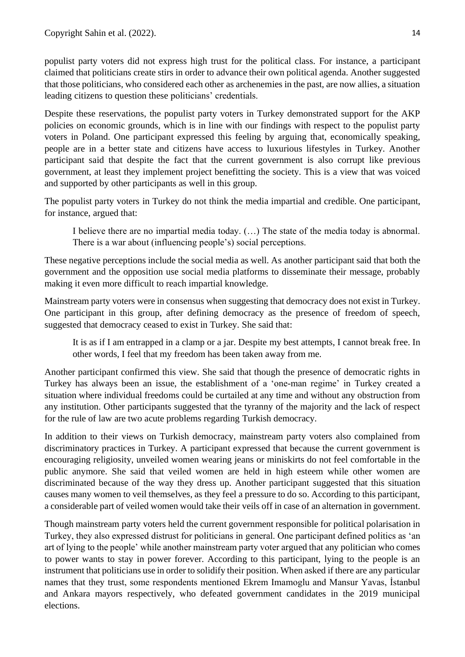populist party voters did not express high trust for the political class. For instance, a participant claimed that politicians create stirs in order to advance their own political agenda. Another suggested that those politicians, who considered each other as archenemies in the past, are now allies, a situation leading citizens to question these politicians' credentials.

Despite these reservations, the populist party voters in Turkey demonstrated support for the AKP policies on economic grounds, which is in line with our findings with respect to the populist party voters in Poland. One participant expressed this feeling by arguing that, economically speaking, people are in a better state and citizens have access to luxurious lifestyles in Turkey. Another participant said that despite the fact that the current government is also corrupt like previous government, at least they implement project benefitting the society. This is a view that was voiced and supported by other participants as well in this group.

The populist party voters in Turkey do not think the media impartial and credible. One participant, for instance, argued that:

I believe there are no impartial media today. (…) The state of the media today is abnormal. There is a war about (influencing people's) social perceptions.

These negative perceptions include the social media as well. As another participant said that both the government and the opposition use social media platforms to disseminate their message, probably making it even more difficult to reach impartial knowledge.

Mainstream party voters were in consensus when suggesting that democracy does not exist in Turkey. One participant in this group, after defining democracy as the presence of freedom of speech, suggested that democracy ceased to exist in Turkey. She said that:

It is as if I am entrapped in a clamp or a jar. Despite my best attempts, I cannot break free. In other words, I feel that my freedom has been taken away from me.

Another participant confirmed this view. She said that though the presence of democratic rights in Turkey has always been an issue, the establishment of a 'one-man regime' in Turkey created a situation where individual freedoms could be curtailed at any time and without any obstruction from any institution. Other participants suggested that the tyranny of the majority and the lack of respect for the rule of law are two acute problems regarding Turkish democracy.

In addition to their views on Turkish democracy, mainstream party voters also complained from discriminatory practices in Turkey. A participant expressed that because the current government is encouraging religiosity, unveiled women wearing jeans or miniskirts do not feel comfortable in the public anymore. She said that veiled women are held in high esteem while other women are discriminated because of the way they dress up. Another participant suggested that this situation causes many women to veil themselves, as they feel a pressure to do so. According to this participant, a considerable part of veiled women would take their veils off in case of an alternation in government.

Though mainstream party voters held the current government responsible for political polarisation in Turkey, they also expressed distrust for politicians in general. One participant defined politics as 'an art of lying to the people' while another mainstream party voter argued that any politician who comes to power wants to stay in power forever. According to this participant, lying to the people is an instrument that politicians use in order to solidify their position. When asked if there are any particular names that they trust, some respondents mentioned Ekrem Imamoglu and Mansur Yavas, İstanbul and Ankara mayors respectively, who defeated government candidates in the 2019 municipal elections.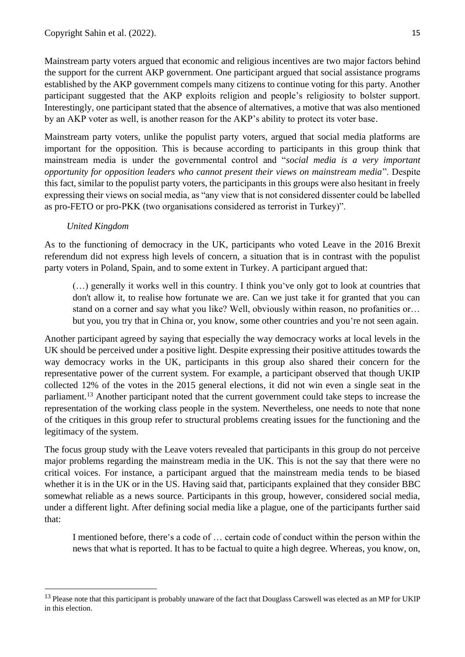Mainstream party voters argued that economic and religious incentives are two major factors behind the support for the current AKP government. One participant argued that social assistance programs established by the AKP government compels many citizens to continue voting for this party. Another participant suggested that the AKP exploits religion and people's religiosity to bolster support. Interestingly, one participant stated that the absence of alternatives, a motive that was also mentioned by an AKP voter as well, is another reason for the AKP's ability to protect its voter base.

Mainstream party voters, unlike the populist party voters, argued that social media platforms are important for the opposition. This is because according to participants in this group think that mainstream media is under the governmental control and "*social media is a very important opportunity for opposition leaders who cannot present their views on mainstream media*". Despite this fact, similar to the populist party voters, the participants in this groups were also hesitant in freely expressing their views on social media, as "any view that is not considered dissenter could be labelled as pro-FETO or pro-PKK (two organisations considered as terrorist in Turkey)".

# *United Kingdom*

As to the functioning of democracy in the UK, participants who voted Leave in the 2016 Brexit referendum did not express high levels of concern, a situation that is in contrast with the populist party voters in Poland, Spain, and to some extent in Turkey. A participant argued that:

(…) generally it works well in this country. I think you've only got to look at countries that don't allow it, to realise how fortunate we are. Can we just take it for granted that you can stand on a corner and say what you like? Well, obviously within reason, no profanities or… but you, you try that in China or, you know, some other countries and you're not seen again.

Another participant agreed by saying that especially the way democracy works at local levels in the UK should be perceived under a positive light. Despite expressing their positive attitudes towards the way democracy works in the UK, participants in this group also shared their concern for the representative power of the current system. For example, a participant observed that though UKIP collected 12% of the votes in the 2015 general elections, it did not win even a single seat in the parliament.<sup>13</sup> Another participant noted that the current government could take steps to increase the representation of the working class people in the system. Nevertheless, one needs to note that none of the critiques in this group refer to structural problems creating issues for the functioning and the legitimacy of the system.

The focus group study with the Leave voters revealed that participants in this group do not perceive major problems regarding the mainstream media in the UK. This is not the say that there were no critical voices. For instance, a participant argued that the mainstream media tends to be biased whether it is in the UK or in the US. Having said that, participants explained that they consider BBC somewhat reliable as a news source. Participants in this group, however, considered social media, under a different light. After defining social media like a plague, one of the participants further said that:

I mentioned before, there's a code of … certain code of conduct within the person within the news that what is reported. It has to be factual to quite a high degree. Whereas, you know, on,

<sup>&</sup>lt;sup>13</sup> Please note that this participant is probably unaware of the fact that Douglass Carswell was elected as an MP for UKIP in this election.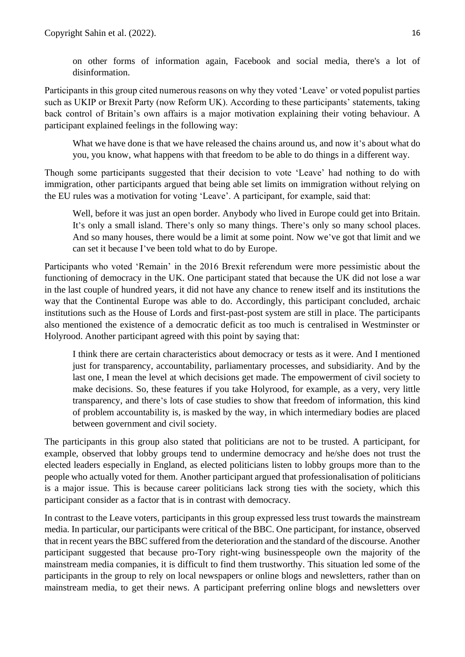on other forms of information again, Facebook and social media, there's a lot of disinformation.

Participants in this group cited numerous reasons on why they voted 'Leave' or voted populist parties such as UKIP or Brexit Party (now Reform UK). According to these participants' statements, taking back control of Britain's own affairs is a major motivation explaining their voting behaviour. A participant explained feelings in the following way:

What we have done is that we have released the chains around us, and now it's about what do you, you know, what happens with that freedom to be able to do things in a different way.

Though some participants suggested that their decision to vote 'Leave' had nothing to do with immigration, other participants argued that being able set limits on immigration without relying on the EU rules was a motivation for voting 'Leave'. A participant, for example, said that:

Well, before it was just an open border. Anybody who lived in Europe could get into Britain. It's only a small island. There's only so many things. There's only so many school places. And so many houses, there would be a limit at some point. Now we've got that limit and we can set it because I've been told what to do by Europe.

Participants who voted 'Remain' in the 2016 Brexit referendum were more pessimistic about the functioning of democracy in the UK. One participant stated that because the UK did not lose a war in the last couple of hundred years, it did not have any chance to renew itself and its institutions the way that the Continental Europe was able to do. Accordingly, this participant concluded, archaic institutions such as the House of Lords and first-past-post system are still in place. The participants also mentioned the existence of a democratic deficit as too much is centralised in Westminster or Holyrood. Another participant agreed with this point by saying that:

I think there are certain characteristics about democracy or tests as it were. And I mentioned just for transparency, accountability, parliamentary processes, and subsidiarity. And by the last one, I mean the level at which decisions get made. The empowerment of civil society to make decisions. So, these features if you take Holyrood, for example, as a very, very little transparency, and there's lots of case studies to show that freedom of information, this kind of problem accountability is, is masked by the way, in which intermediary bodies are placed between government and civil society.

The participants in this group also stated that politicians are not to be trusted. A participant, for example, observed that lobby groups tend to undermine democracy and he/she does not trust the elected leaders especially in England, as elected politicians listen to lobby groups more than to the people who actually voted for them. Another participant argued that professionalisation of politicians is a major issue. This is because career politicians lack strong ties with the society, which this participant consider as a factor that is in contrast with democracy.

In contrast to the Leave voters, participants in this group expressed less trust towards the mainstream media. In particular, our participants were critical of the BBC. One participant, for instance, observed that in recent years the BBC suffered from the deterioration and the standard of the discourse. Another participant suggested that because pro-Tory right-wing businesspeople own the majority of the mainstream media companies, it is difficult to find them trustworthy. This situation led some of the participants in the group to rely on local newspapers or online blogs and newsletters, rather than on mainstream media, to get their news. A participant preferring online blogs and newsletters over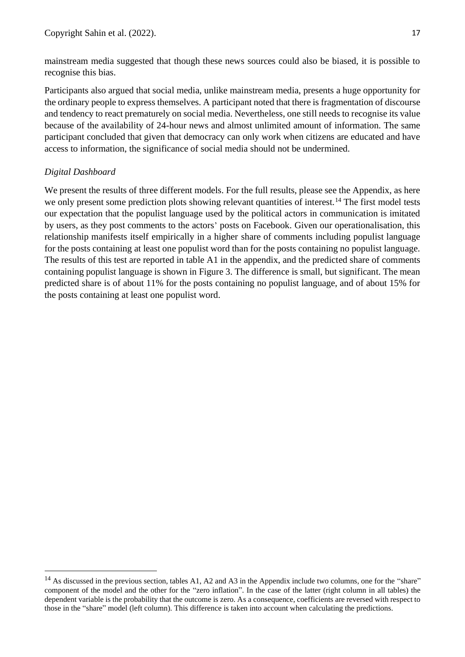mainstream media suggested that though these news sources could also be biased, it is possible to recognise this bias.

Participants also argued that social media, unlike mainstream media, presents a huge opportunity for the ordinary people to express themselves. A participant noted that there is fragmentation of discourse and tendency to react prematurely on social media. Nevertheless, one still needs to recognise its value because of the availability of 24-hour news and almost unlimited amount of information. The same participant concluded that given that democracy can only work when citizens are educated and have access to information, the significance of social media should not be undermined.

# <span id="page-16-0"></span>*Digital Dashboard*

We present the results of three different models. For the full results, please see the Appendix, as here we only present some prediction plots showing relevant quantities of interest.<sup>14</sup> The first model tests our expectation that the populist language used by the political actors in communication is imitated by users, as they post comments to the actors' posts on Facebook. Given our operationalisation, this relationship manifests itself empirically in a higher share of comments including populist language for the posts containing at least one populist word than for the posts containing no populist language. The results of this test are reported in table A1 in the appendix, and the predicted share of comments containing populist language is shown in Figure 3. The difference is small, but significant. The mean predicted share is of about 11% for the posts containing no populist language, and of about 15% for the posts containing at least one populist word.

 $14$  As discussed in the previous section, tables A1, A2 and A3 in the Appendix include two columns, one for the "share" component of the model and the other for the "zero inflation". In the case of the latter (right column in all tables) the dependent variable is the probability that the outcome is zero. As a consequence, coefficients are reversed with respect to those in the "share" model (left column). This difference is taken into account when calculating the predictions.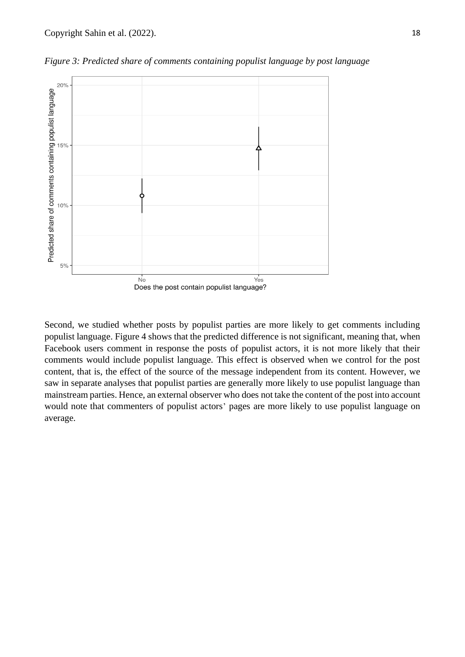

*Figure 3: Predicted share of comments containing populist language by post language*

Second, we studied whether posts by populist parties are more likely to get comments including populist language. Figure 4 shows that the predicted difference is not significant, meaning that, when Facebook users comment in response the posts of populist actors, it is not more likely that their comments would include populist language. This effect is observed when we control for the post content, that is, the effect of the source of the message independent from its content. However, we saw in separate analyses that populist parties are generally more likely to use populist language than mainstream parties. Hence, an external observer who does not take the content of the post into account would note that commenters of populist actors' pages are more likely to use populist language on average.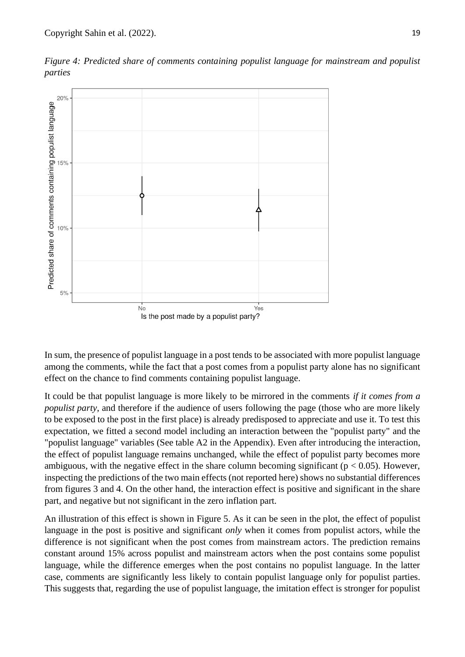



In sum, the presence of populist language in a post tends to be associated with more populist language among the comments, while the fact that a post comes from a populist party alone has no significant effect on the chance to find comments containing populist language.

It could be that populist language is more likely to be mirrored in the comments *if it comes from a populist party*, and therefore if the audience of users following the page (those who are more likely to be exposed to the post in the first place) is already predisposed to appreciate and use it. To test this expectation, we fitted a second model including an interaction between the "populist party" and the "populist language" variables (See table A2 in the Appendix). Even after introducing the interaction, the effect of populist language remains unchanged, while the effect of populist party becomes more ambiguous, with the negative effect in the share column becoming significant ( $p < 0.05$ ). However, inspecting the predictions of the two main effects (not reported here) shows no substantial differences from figures 3 and 4. On the other hand, the interaction effect is positive and significant in the share part, and negative but not significant in the zero inflation part.

An illustration of this effect is shown in Figure 5. As it can be seen in the plot, the effect of populist language in the post is positive and significant *only* when it comes from populist actors, while the difference is not significant when the post comes from mainstream actors. The prediction remains constant around 15% across populist and mainstream actors when the post contains some populist language, while the difference emerges when the post contains no populist language. In the latter case, comments are significantly less likely to contain populist language only for populist parties. This suggests that, regarding the use of populist language, the imitation effect is stronger for populist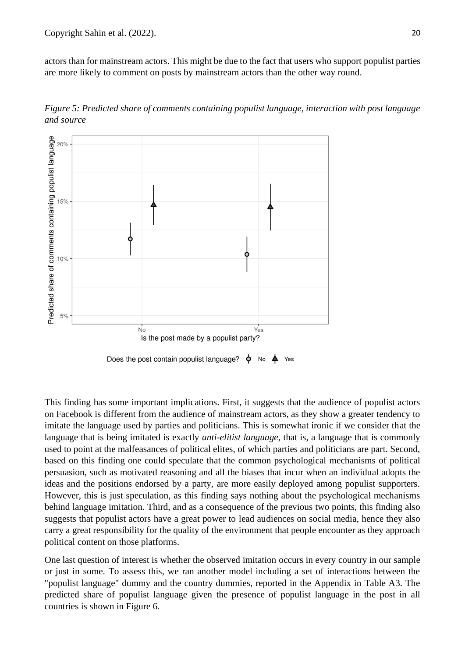actors than for mainstream actors. This might be due to the fact that users who support populist parties are more likely to comment on posts by mainstream actors than the other way round.

*Figure 5: Predicted share of comments containing populist language, interaction with post language and source*



This finding has some important implications. First, it suggests that the audience of populist actors on Facebook is different from the audience of mainstream actors, as they show a greater tendency to imitate the language used by parties and politicians. This is somewhat ironic if we consider that the language that is being imitated is exactly *anti-elitist language*, that is, a language that is commonly used to point at the malfeasances of political elites, of which parties and politicians are part. Second, based on this finding one could speculate that the common psychological mechanisms of political persuasion, such as motivated reasoning and all the biases that incur when an individual adopts the ideas and the positions endorsed by a party, are more easily deployed among populist supporters. However, this is just speculation, as this finding says nothing about the psychological mechanisms behind language imitation. Third, and as a consequence of the previous two points, this finding also suggests that populist actors have a great power to lead audiences on social media, hence they also carry a great responsibility for the quality of the environment that people encounter as they approach political content on those platforms.

One last question of interest is whether the observed imitation occurs in every country in our sample or just in some. To assess this, we ran another model including a set of interactions between the "populist language" dummy and the country dummies, reported in the Appendix in Table A3. The predicted share of populist language given the presence of populist language in the post in all countries is shown in Figure 6.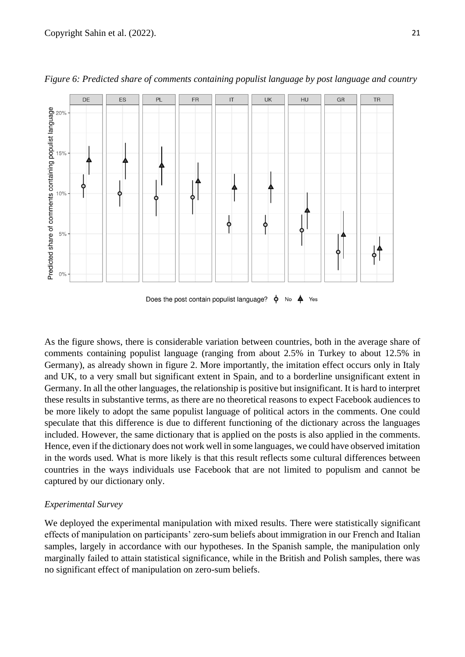

*Figure 6: Predicted share of comments containing populist language by post language and country*

 $\phi$  $\blacktriangle$ Does the post contain populist language? No Yes

As the figure shows, there is considerable variation between countries, both in the average share of comments containing populist language (ranging from about 2.5% in Turkey to about 12.5% in Germany), as already shown in figure 2. More importantly, the imitation effect occurs only in Italy and UK, to a very small but significant extent in Spain, and to a borderline unsignificant extent in Germany. In all the other languages, the relationship is positive but insignificant. It is hard to interpret these results in substantive terms, as there are no theoretical reasons to expect Facebook audiences to be more likely to adopt the same populist language of political actors in the comments. One could speculate that this difference is due to different functioning of the dictionary across the languages included. However, the same dictionary that is applied on the posts is also applied in the comments. Hence, even if the dictionary does not work well in some languages, we could have observed imitation in the words used. What is more likely is that this result reflects some cultural differences between countries in the ways individuals use Facebook that are not limited to populism and cannot be captured by our dictionary only.

# <span id="page-20-0"></span>*Experimental Survey*

We deployed the experimental manipulation with mixed results. There were statistically significant effects of manipulation on participants' zero-sum beliefs about immigration in our French and Italian samples, largely in accordance with our hypotheses. In the Spanish sample, the manipulation only marginally failed to attain statistical significance, while in the British and Polish samples, there was no significant effect of manipulation on zero-sum beliefs.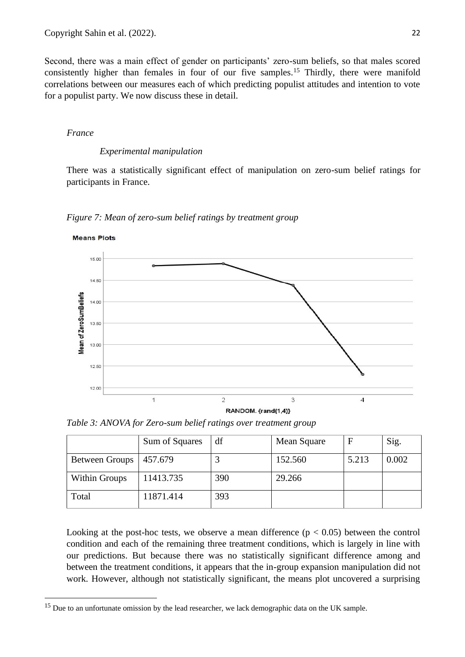Second, there was a main effect of gender on participants' zero-sum beliefs, so that males scored consistently higher than females in four of our five samples.<sup>15</sup> Thirdly, there were manifold correlations between our measures each of which predicting populist attitudes and intention to vote for a populist party. We now discuss these in detail.

### *France*

### *Experimental manipulation*

There was a statistically significant effect of manipulation on zero-sum belief ratings for participants in France.





*Table 3: ANOVA for Zero-sum belief ratings over treatment group*

|                       | Sum of Squares | df  | Mean Square |       | Sig.  |
|-----------------------|----------------|-----|-------------|-------|-------|
| <b>Between Groups</b> | 457.679        |     | 152.560     | 5.213 | 0.002 |
| <b>Within Groups</b>  | 11413.735      | 390 | 29.266      |       |       |
| Total                 | 11871.414      | 393 |             |       |       |

Looking at the post-hoc tests, we observe a mean difference  $(p < 0.05)$  between the control condition and each of the remaining three treatment conditions, which is largely in line with our predictions. But because there was no statistically significant difference among and between the treatment conditions, it appears that the in-group expansion manipulation did not work. However, although not statistically significant, the means plot uncovered a surprising

<sup>&</sup>lt;sup>15</sup> Due to an unfortunate omission by the lead researcher, we lack demographic data on the UK sample.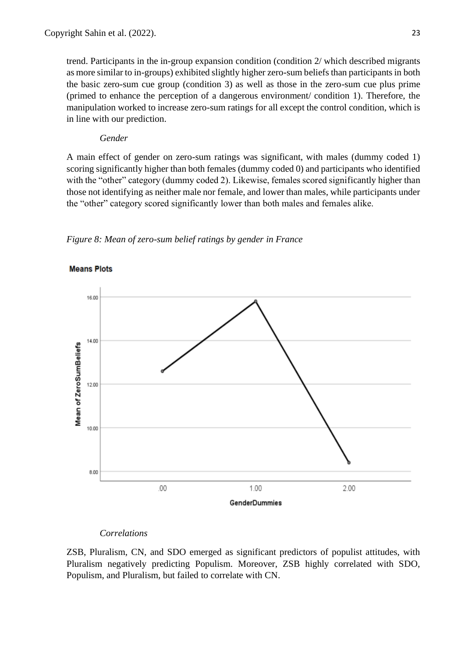trend. Participants in the in-group expansion condition (condition 2/ which described migrants as more similar to in-groups) exhibited slightly higher zero-sum beliefs than participants in both the basic zero-sum cue group (condition 3) as well as those in the zero-sum cue plus prime (primed to enhance the perception of a dangerous environment/ condition 1). Therefore, the manipulation worked to increase zero-sum ratings for all except the control condition, which is in line with our prediction.

### *Gender*

A main effect of gender on zero-sum ratings was significant, with males (dummy coded 1) scoring significantly higher than both females (dummy coded 0) and participants who identified with the "other" category (dummy coded 2). Likewise, females scored significantly higher than those not identifying as neither male nor female, and lower than males, while participants under the "other" category scored significantly lower than both males and females alike.

*Figure 8: Mean of zero-sum belief ratings by gender in France*





#### *Correlations*

ZSB, Pluralism, CN, and SDO emerged as significant predictors of populist attitudes, with Pluralism negatively predicting Populism. Moreover, ZSB highly correlated with SDO, Populism, and Pluralism, but failed to correlate with CN.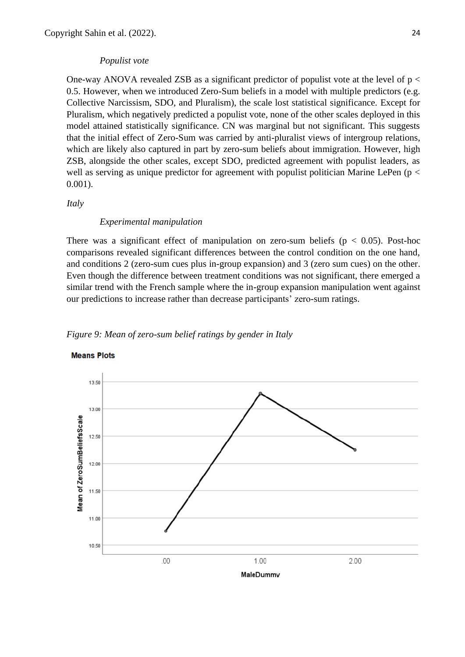#### *Populist vote*

One-way ANOVA revealed ZSB as a significant predictor of populist vote at the level of  $p <$ 0.5. However, when we introduced Zero-Sum beliefs in a model with multiple predictors (e.g. Collective Narcissism, SDO, and Pluralism), the scale lost statistical significance. Except for Pluralism, which negatively predicted a populist vote, none of the other scales deployed in this model attained statistically significance. CN was marginal but not significant. This suggests that the initial effect of Zero-Sum was carried by anti-pluralist views of intergroup relations, which are likely also captured in part by zero-sum beliefs about immigration. However, high ZSB, alongside the other scales, except SDO, predicted agreement with populist leaders, as well as serving as unique predictor for agreement with populist politician Marine LePen ( $p <$ 0.001).

*Italy*

#### *Experimental manipulation*

There was a significant effect of manipulation on zero-sum beliefs ( $p < 0.05$ ). Post-hoc comparisons revealed significant differences between the control condition on the one hand, and conditions 2 (zero-sum cues plus in-group expansion) and 3 (zero sum cues) on the other. Even though the difference between treatment conditions was not significant, there emerged a similar trend with the French sample where the in-group expansion manipulation went against our predictions to increase rather than decrease participants' zero-sum ratings.





#### **Means Plots**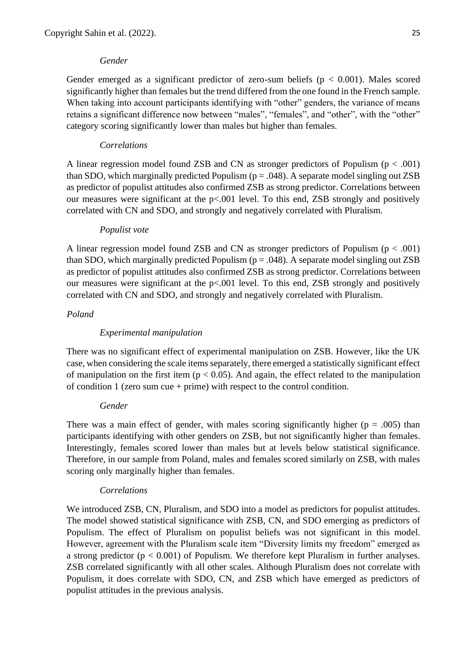### *Gender*

Gender emerged as a significant predictor of zero-sum beliefs ( $p < 0.001$ ). Males scored significantly higher than females but the trend differed from the one found in the French sample. When taking into account participants identifying with "other" genders, the variance of means retains a significant difference now between "males", "females", and "other", with the "other" category scoring significantly lower than males but higher than females.

# *Correlations*

A linear regression model found ZSB and CN as stronger predictors of Populism (p < .001) than SDO, which marginally predicted Populism ( $p = .048$ ). A separate model singling out ZSB as predictor of populist attitudes also confirmed ZSB as strong predictor. Correlations between our measures were significant at the  $p<.001$  level. To this end, ZSB strongly and positively correlated with CN and SDO, and strongly and negatively correlated with Pluralism.

### *Populist vote*

A linear regression model found ZSB and CN as stronger predictors of Populism ( $p < .001$ ) than SDO, which marginally predicted Populism ( $p = .048$ ). A separate model singling out ZSB as predictor of populist attitudes also confirmed ZSB as strong predictor. Correlations between our measures were significant at the p<.001 level. To this end, ZSB strongly and positively correlated with CN and SDO, and strongly and negatively correlated with Pluralism.

### *Poland*

## *Experimental manipulation*

There was no significant effect of experimental manipulation on ZSB. However, like the UK case, when considering the scale items separately, there emerged a statistically significant effect of manipulation on the first item ( $p < 0.05$ ). And again, the effect related to the manipulation of condition  $1$  (zero sum cue + prime) with respect to the control condition.

### *Gender*

There was a main effect of gender, with males scoring significantly higher ( $p = .005$ ) than participants identifying with other genders on ZSB, but not significantly higher than females. Interestingly, females scored lower than males but at levels below statistical significance. Therefore, in our sample from Poland, males and females scored similarly on ZSB, with males scoring only marginally higher than females.

### *Correlations*

We introduced ZSB, CN, Pluralism, and SDO into a model as predictors for populist attitudes. The model showed statistical significance with ZSB, CN, and SDO emerging as predictors of Populism. The effect of Pluralism on populist beliefs was not significant in this model. However, agreement with the Pluralism scale item "Diversity limits my freedom" emerged as a strong predictor ( $p < 0.001$ ) of Populism. We therefore kept Pluralism in further analyses. ZSB correlated significantly with all other scales. Although Pluralism does not correlate with Populism, it does correlate with SDO, CN, and ZSB which have emerged as predictors of populist attitudes in the previous analysis.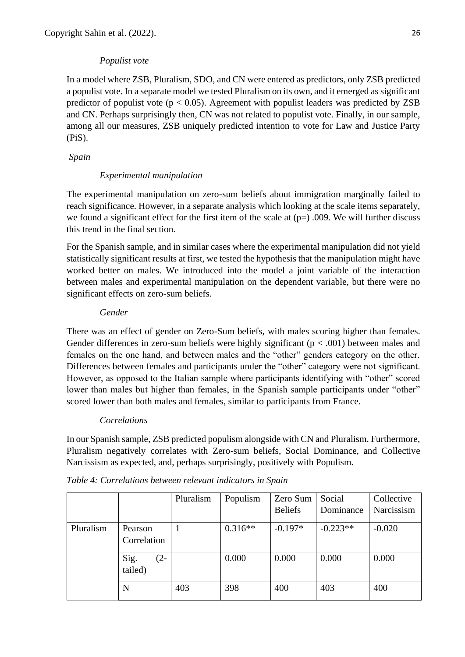# *Populist vote*

In a model where ZSB, Pluralism, SDO, and CN were entered as predictors, only ZSB predicted a populist vote. In a separate model we tested Pluralism on its own, and it emerged as significant predictor of populist vote ( $p < 0.05$ ). Agreement with populist leaders was predicted by ZSB and CN. Perhaps surprisingly then, CN was not related to populist vote. Finally, in our sample, among all our measures, ZSB uniquely predicted intention to vote for Law and Justice Party (PiS).

*Spain*

# *Experimental manipulation*

The experimental manipulation on zero-sum beliefs about immigration marginally failed to reach significance. However, in a separate analysis which looking at the scale items separately, we found a significant effect for the first item of the scale at  $(p=)$ .009. We will further discuss this trend in the final section.

For the Spanish sample, and in similar cases where the experimental manipulation did not yield statistically significant results at first, we tested the hypothesis that the manipulation might have worked better on males. We introduced into the model a joint variable of the interaction between males and experimental manipulation on the dependent variable, but there were no significant effects on zero-sum beliefs.

# *Gender*

There was an effect of gender on Zero-Sum beliefs, with males scoring higher than females. Gender differences in zero-sum beliefs were highly significant ( $p < .001$ ) between males and females on the one hand, and between males and the "other" genders category on the other. Differences between females and participants under the "other" category were not significant. However, as opposed to the Italian sample where participants identifying with "other" scored lower than males but higher than females, in the Spanish sample participants under "other" scored lower than both males and females, similar to participants from France.

# *Correlations*

In our Spanish sample, ZSB predicted populism alongside with CN and Pluralism. Furthermore, Pluralism negatively correlates with Zero-sum beliefs, Social Dominance, and Collective Narcissism as expected, and, perhaps surprisingly, positively with Populism.

|           |                          | Pluralism | Populism  | Zero Sum       | Social     | Collective |
|-----------|--------------------------|-----------|-----------|----------------|------------|------------|
|           |                          |           |           | <b>Beliefs</b> | Dominance  | Narcissism |
| Pluralism | Pearson<br>Correlation   |           | $0.316**$ | $-0.197*$      | $-0.223**$ | $-0.020$   |
|           | Sig.<br>$(2-$<br>tailed) |           | 0.000     | 0.000          | 0.000      | 0.000      |
|           | N                        | 403       | 398       | 400            | 403        | 400        |

*Table 4: Correlations between relevant indicators in Spain*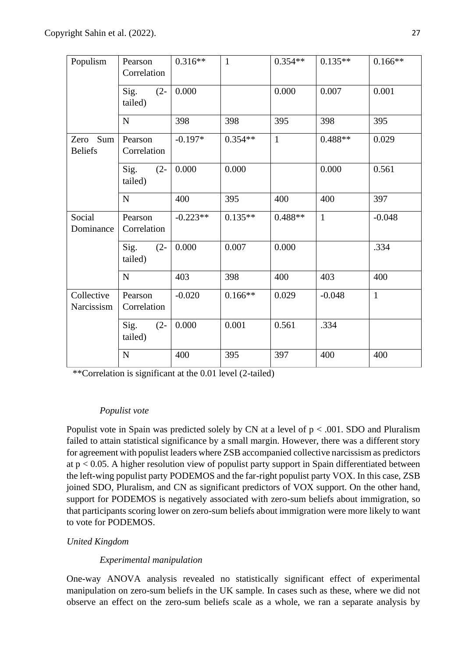| Populism                      | Pearson<br>Correlation    | $0.316**$  | $\mathbf{1}$ | $0.354**$    | $0.135**$    | $0.166**$    |
|-------------------------------|---------------------------|------------|--------------|--------------|--------------|--------------|
|                               | Sig.<br>$(2 -$<br>tailed) | 0.000      |              | 0.000        | 0.007        | 0.001        |
|                               | ${\bf N}$                 | 398        | 398          | 395          | 398          | 395          |
| Sum<br>Zero<br><b>Beliefs</b> | Pearson<br>Correlation    | $-0.197*$  | $0.354**$    | $\mathbf{1}$ | $0.488**$    | 0.029        |
|                               | Sig.<br>$(2 -$<br>tailed) | 0.000      | 0.000        |              | 0.000        | 0.561        |
|                               | N                         | 400        | 395          | 400          | 400          | 397          |
| Social<br>Dominance           | Pearson<br>Correlation    | $-0.223**$ | $0.135**$    | $0.488**$    | $\mathbf{1}$ | $-0.048$     |
|                               | Sig.<br>$(2 -$<br>tailed) | 0.000      | 0.007        | 0.000        |              | .334         |
|                               | ${\bf N}$                 | 403        | 398          | 400          | 403          | 400          |
| Collective<br>Narcissism      | Pearson<br>Correlation    | $-0.020$   | $0.166**$    | 0.029        | $-0.048$     | $\mathbf{1}$ |
|                               | Sig.<br>$(2 -$<br>tailed) | 0.000      | 0.001        | 0.561        | .334         |              |
|                               | ${\bf N}$                 | 400        | 395          | 397          | 400          | 400          |

\*\*Correlation is significant at the 0.01 level (2-tailed)

# *Populist vote*

Populist vote in Spain was predicted solely by CN at a level of  $p < .001$ . SDO and Pluralism failed to attain statistical significance by a small margin. However, there was a different story for agreement with populist leaders where ZSB accompanied collective narcissism as predictors at  $p < 0.05$ . A higher resolution view of populist party support in Spain differentiated between the left-wing populist party PODEMOS and the far-right populist party VOX. In this case, ZSB joined SDO, Pluralism, and CN as significant predictors of VOX support. On the other hand, support for PODEMOS is negatively associated with zero-sum beliefs about immigration, so that participants scoring lower on zero-sum beliefs about immigration were more likely to want to vote for PODEMOS.

# *United Kingdom*

# *Experimental manipulation*

One-way ANOVA analysis revealed no statistically significant effect of experimental manipulation on zero-sum beliefs in the UK sample. In cases such as these, where we did not observe an effect on the zero-sum beliefs scale as a whole, we ran a separate analysis by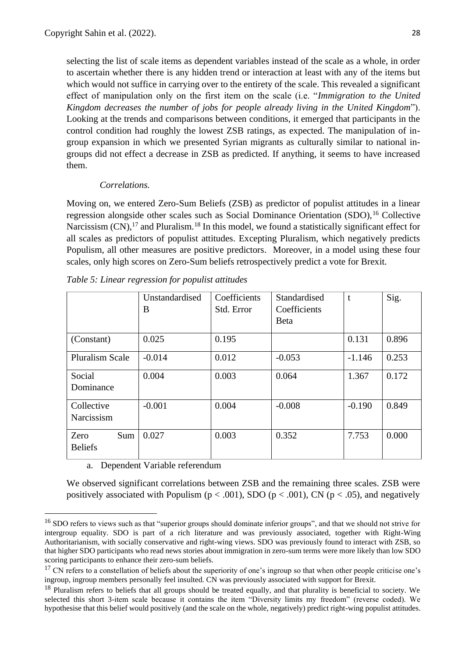selecting the list of scale items as dependent variables instead of the scale as a whole, in order to ascertain whether there is any hidden trend or interaction at least with any of the items but which would not suffice in carrying over to the entirety of the scale. This revealed a significant effect of manipulation only on the first item on the scale (i.e. "*Immigration to the United Kingdom decreases the number of jobs for people already living in the United Kingdom*"). Looking at the trends and comparisons between conditions, it emerged that participants in the control condition had roughly the lowest ZSB ratings, as expected. The manipulation of ingroup expansion in which we presented Syrian migrants as culturally similar to national ingroups did not effect a decrease in ZSB as predicted. If anything, it seems to have increased them.

### *Correlations.*

Moving on, we entered Zero-Sum Beliefs (ZSB) as predictor of populist attitudes in a linear regression alongside other scales such as Social Dominance Orientation (SDO),<sup>16</sup> Collective Narcissism  $(CN)$ , <sup>17</sup> and Pluralism.<sup>18</sup> In this model, we found a statistically significant effect for all scales as predictors of populist attitudes. Excepting Pluralism, which negatively predicts Populism, all other measures are positive predictors. Moreover, in a model using these four scales, only high scores on Zero-Sum beliefs retrospectively predict a vote for Brexit.

|                               | Unstandardised<br>B | Coefficients<br>Std. Error | Standardised<br>Coefficients<br><b>B</b> eta | t        | Sig.  |
|-------------------------------|---------------------|----------------------------|----------------------------------------------|----------|-------|
| (Constant)                    | 0.025               | 0.195                      |                                              | 0.131    | 0.896 |
| <b>Pluralism Scale</b>        | $-0.014$            | 0.012                      | $-0.053$                                     | $-1.146$ | 0.253 |
| Social<br>Dominance           | 0.004               | 0.003                      | 0.064                                        | 1.367    | 0.172 |
| Collective<br>Narcissism      | $-0.001$            | 0.004                      | $-0.008$                                     | $-0.190$ | 0.849 |
| Zero<br>Sum<br><b>Beliefs</b> | 0.027               | 0.003                      | 0.352                                        | 7.753    | 0.000 |

*Table 5: Linear regression for populist attitudes*

a. Dependent Variable referendum

We observed significant correlations between ZSB and the remaining three scales. ZSB were positively associated with Populism ( $p < .001$ ), SDO ( $p < .001$ ), CN ( $p < .05$ ), and negatively

<sup>&</sup>lt;sup>16</sup> SDO refers to views such as that "superior groups should dominate inferior groups", and that we should not strive for intergroup equality. SDO is part of a rich literature and was previously associated, together with Right-Wing Authoritarianism, with socially conservative and right-wing views. SDO was previously found to interact with ZSB, so that higher SDO participants who read news stories about immigration in zero-sum terms were more likely than low SDO scoring participants to enhance their zero-sum beliefs.

 $17$  CN refers to a constellation of beliefs about the superiority of one's ingroup so that when other people criticise one's ingroup, ingroup members personally feel insulted. CN was previously associated with support for Brexit.

 $18$  Pluralism refers to beliefs that all groups should be treated equally, and that plurality is beneficial to society. We selected this short 3-item scale because it contains the item "Diversity limits my freedom" (reverse coded). We hypothesise that this belief would positively (and the scale on the whole, negatively) predict right-wing populist attitudes.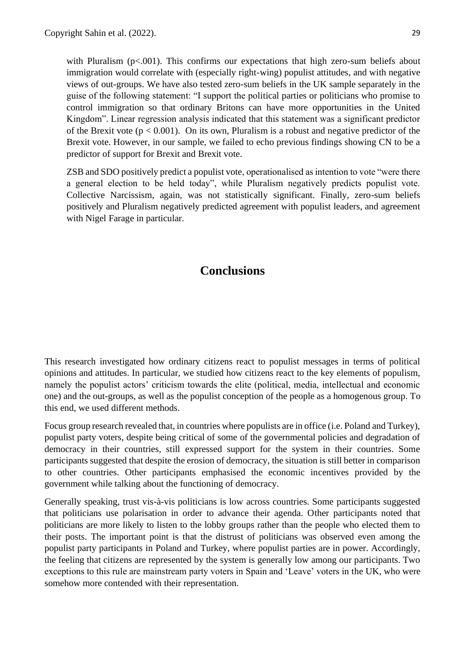with Pluralism  $(p<.001)$ . This confirms our expectations that high zero-sum beliefs about immigration would correlate with (especially right-wing) populist attitudes, and with negative views of out-groups. We have also tested zero-sum beliefs in the UK sample separately in the guise of the following statement: "I support the political parties or politicians who promise to control immigration so that ordinary Britons can have more opportunities in the United Kingdom". Linear regression analysis indicated that this statement was a significant predictor of the Brexit vote  $(p < 0.001)$ . On its own, Pluralism is a robust and negative predictor of the Brexit vote. However, in our sample, we failed to echo previous findings showing CN to be a predictor of support for Brexit and Brexit vote.

<span id="page-28-0"></span>ZSB and SDO positively predict a populist vote, operationalised as intention to vote "were there a general election to be held today", while Pluralism negatively predicts populist vote. Collective Narcissism, again, was not statistically significant. Finally, zero-sum beliefs positively and Pluralism negatively predicted agreement with populist leaders, and agreement with Nigel Farage in particular.

# **Conclusions**

This research investigated how ordinary citizens react to populist messages in terms of political opinions and attitudes. In particular, we studied how citizens react to the key elements of populism, namely the populist actors' criticism towards the elite (political, media, intellectual and economic one) and the out-groups, as well as the populist conception of the people as a homogenous group. To this end, we used different methods.

Focus group research revealed that, in countries where populists are in office (i.e. Poland and Turkey), populist party voters, despite being critical of some of the governmental policies and degradation of democracy in their countries, still expressed support for the system in their countries. Some participants suggested that despite the erosion of democracy, the situation is still better in comparison to other countries. Other participants emphasised the economic incentives provided by the government while talking about the functioning of democracy.

Generally speaking, trust vis-à-vis politicians is low across countries. Some participants suggested that politicians use polarisation in order to advance their agenda. Other participants noted that politicians are more likely to listen to the lobby groups rather than the people who elected them to their posts. The important point is that the distrust of politicians was observed even among the populist party participants in Poland and Turkey, where populist parties are in power. Accordingly, the feeling that citizens are represented by the system is generally low among our participants. Two exceptions to this rule are mainstream party voters in Spain and 'Leave' voters in the UK, who were somehow more contended with their representation.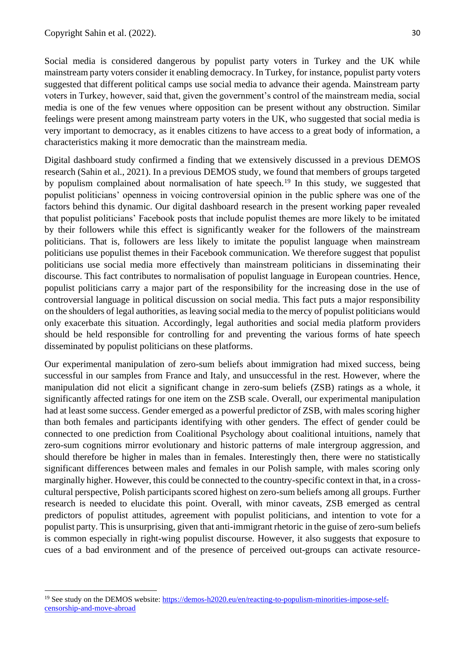Social media is considered dangerous by populist party voters in Turkey and the UK while mainstream party voters consider it enabling democracy. In Turkey, for instance, populist party voters suggested that different political camps use social media to advance their agenda. Mainstream party voters in Turkey, however, said that, given the government's control of the mainstream media, social media is one of the few venues where opposition can be present without any obstruction. Similar feelings were present among mainstream party voters in the UK, who suggested that social media is very important to democracy, as it enables citizens to have access to a great body of information, a characteristics making it more democratic than the mainstream media.

Digital dashboard study confirmed a finding that we extensively discussed in a previous DEMOS research (Sahin et al., 2021). In a previous DEMOS study, we found that members of groups targeted by populism complained about normalisation of hate speech.<sup>19</sup> In this study, we suggested that populist politicians' openness in voicing controversial opinion in the public sphere was one of the factors behind this dynamic. Our digital dashboard research in the present working paper revealed that populist politicians' Facebook posts that include populist themes are more likely to be imitated by their followers while this effect is significantly weaker for the followers of the mainstream politicians. That is, followers are less likely to imitate the populist language when mainstream politicians use populist themes in their Facebook communication. We therefore suggest that populist politicians use social media more effectively than mainstream politicians in disseminating their discourse. This fact contributes to normalisation of populist language in European countries. Hence, populist politicians carry a major part of the responsibility for the increasing dose in the use of controversial language in political discussion on social media. This fact puts a major responsibility on the shoulders of legal authorities, as leaving social media to the mercy of populist politicians would only exacerbate this situation. Accordingly, legal authorities and social media platform providers should be held responsible for controlling for and preventing the various forms of hate speech disseminated by populist politicians on these platforms.

Our experimental manipulation of zero-sum beliefs about immigration had mixed success, being successful in our samples from France and Italy, and unsuccessful in the rest. However, where the manipulation did not elicit a significant change in zero-sum beliefs (ZSB) ratings as a whole, it significantly affected ratings for one item on the ZSB scale. Overall, our experimental manipulation had at least some success. Gender emerged as a powerful predictor of ZSB, with males scoring higher than both females and participants identifying with other genders. The effect of gender could be connected to one prediction from Coalitional Psychology about coalitional intuitions, namely that zero-sum cognitions mirror evolutionary and historic patterns of male intergroup aggression, and should therefore be higher in males than in females. Interestingly then, there were no statistically significant differences between males and females in our Polish sample, with males scoring only marginally higher. However, this could be connected to the country-specific context in that, in a crosscultural perspective, Polish participants scored highest on zero-sum beliefs among all groups. Further research is needed to elucidate this point. Overall, with minor caveats, ZSB emerged as central predictors of populist attitudes, agreement with populist politicians, and intention to vote for a populist party. This is unsurprising, given that anti-immigrant rhetoric in the guise of zero-sum beliefs is common especially in right-wing populist discourse. However, it also suggests that exposure to cues of a bad environment and of the presence of perceived out-groups can activate resource-

<sup>&</sup>lt;sup>19</sup> See study on the DEMOS website[: https://demos-h2020.eu/en/reacting-to-populism-minorities-impose-self](https://demos-h2020.eu/en/reacting-to-populism-minorities-impose-self-censorship-and-move-abroad)[censorship-and-move-abroad](https://demos-h2020.eu/en/reacting-to-populism-minorities-impose-self-censorship-and-move-abroad)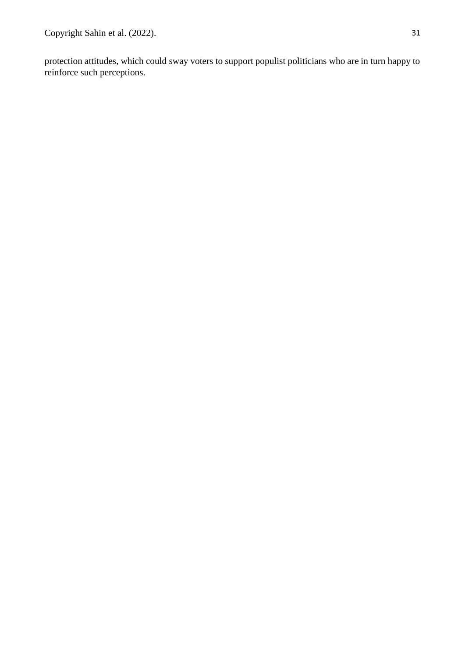protection attitudes, which could sway voters to support populist politicians who are in turn happy to reinforce such perceptions.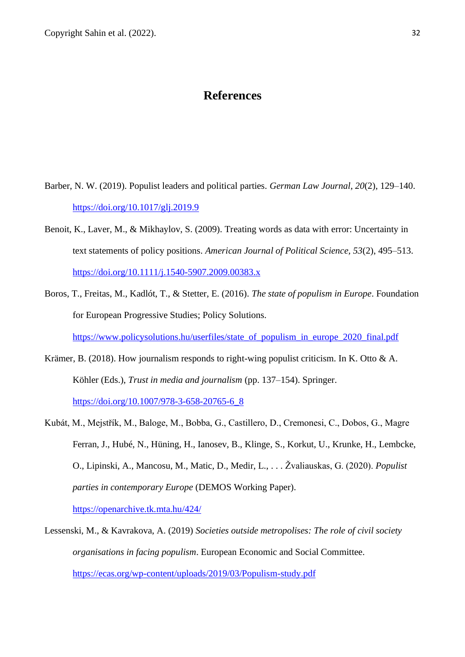# **References**

- <span id="page-31-0"></span>Barber, N. W. (2019). Populist leaders and political parties. *German Law Journal*, *20*(2), 129–140. <https://doi.org/10.1017/glj.2019.9>
- Benoit, K., Laver, M., & Mikhaylov, S. (2009). Treating words as data with error: Uncertainty in text statements of policy positions. *American Journal of Political Science, 53*(2), 495–513. <https://doi.org/10.1111/j.1540-5907.2009.00383.x>
- Boros, T., Freitas, M., Kadlót, T., & Stetter, E. (2016). *The state of populism in Europe*. Foundation for European Progressive Studies; Policy Solutions. https://www.policysolutions.hu/userfiles/state\_of\_populism\_in\_europe\_2020\_final.pdf
- Krämer, B. (2018). How journalism responds to right-wing populist criticism. In K. Otto & A. Köhler (Eds.), *Trust in media and journalism* (pp. 137–154). Springer. [https://doi.org/10.1007/978-3-658-20765-6\\_8](https://doi.org/10.1007/978-3-658-20765-6_8)
- Kubát, M., Mejstřík, M., Baloge, M., Bobba, G., Castillero, D., Cremonesi, C., Dobos, G., Magre Ferran, J., Hubé, N., Hüning, H., Ianosev, B., Klinge, S., Korkut, U., Krunke, H., Lembcke, O., Lipinski, A., Mancosu, M., Matic, D., Medir, L., . . . Žvaliauskas, G. (2020). *Populist parties in contemporary Europe* (DEMOS Working Paper).

<https://openarchive.tk.mta.hu/424/>

Lessenski, M., & Kavrakova, A. (2019) *Societies outside metropolises: The role of civil society organisations in facing populism*. European Economic and Social Committee. <https://ecas.org/wp-content/uploads/2019/03/Populism-study.pdf>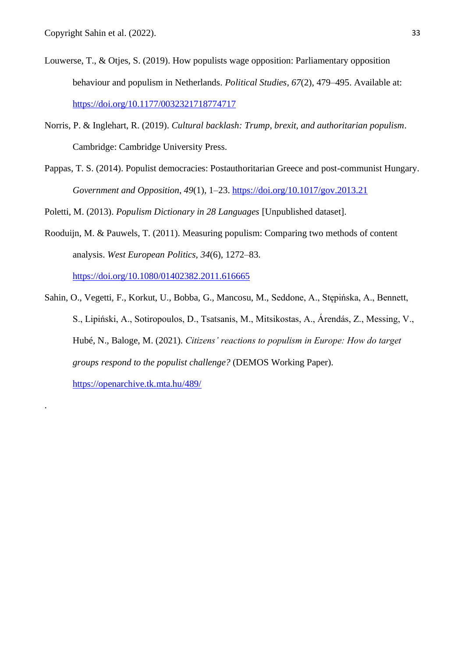.

- Louwerse, T., & Otjes, S. (2019). How populists wage opposition: Parliamentary opposition behaviour and populism in Netherlands. *Political Studies*, *67*(2), 479–495. Available at: <https://doi.org/10.1177/0032321718774717>
- Norris, P. & Inglehart, R. (2019). *Cultural backlash: Trump, brexit, and authoritarian populism*. Cambridge: Cambridge University Press.
- Pappas, T. S. (2014). Populist democracies: Postauthoritarian Greece and post-communist Hungary. *Government and Opposition*, *49*(1), 1–23.<https://doi.org/10.1017/gov.2013.21>

Poletti, M. (2013). *Populism Dictionary in 28 Languages* [Unpublished dataset].

- Rooduijn, M. & Pauwels, T. (2011). Measuring populism: Comparing two methods of content analysis. *West European Politics, 34*(6), 1272–83. <https://doi.org/10.1080/01402382.2011.616665>
- Sahin, O., Vegetti, F., Korkut, U., Bobba, G., Mancosu, M., Seddone, A., Stępińska, A., Bennett, S., Lipiński, A., Sotiropoulos, D., Tsatsanis, M., Mitsikostas, A., Árendás, Z., Messing, V., Hubé, N., Baloge, M. (2021). *Citizens' reactions to populism in Europe: How do target groups respond to the populist challenge?* (DEMOS Working Paper). <https://openarchive.tk.mta.hu/489/>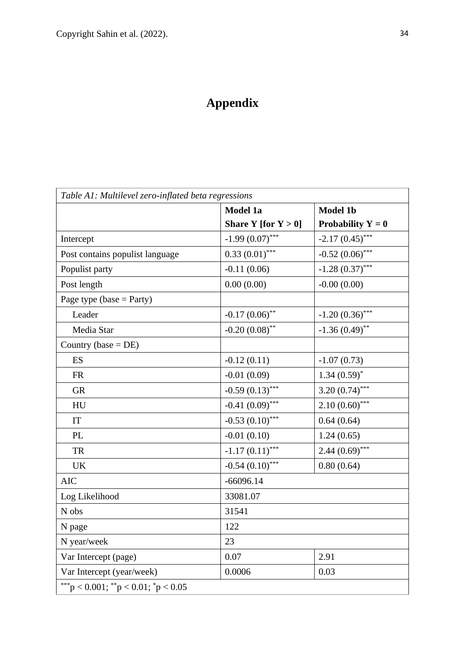# **Appendix**

<span id="page-33-0"></span>

|                                 | <b>Model 1a</b>        | <b>Model 1b</b>     |
|---------------------------------|------------------------|---------------------|
|                                 | Share Y [for $Y > 0$ ] | Probability $Y = 0$ |
| Intercept                       | $-1.99(0.07)$ ***      | $-2.17(0.45)$ ***   |
| Post contains populist language | $0.33(0.01)$ ***       | $-0.52(0.06)$ ***   |
| Populist party                  | $-0.11(0.06)$          | $-1.28(0.37)$ ***   |
| Post length                     | 0.00(0.00)             | $-0.00(0.00)$       |
| Page type (base = Party)        |                        |                     |
| Leader                          | $-0.17(0.06)$ **       | $-1.20(0.36)$ ***   |
| Media Star                      | $-0.20(0.08)$ **       | $-1.36(0.49)$ **    |
| Country (base = $DE$ )          |                        |                     |
| ES                              | $-0.12(0.11)$          | $-1.07(0.73)$       |
| <b>FR</b>                       | $-0.01(0.09)$          | $1.34(0.59)^{*}$    |
| <b>GR</b>                       | $-0.59(0.13)$ ***      | 3.20 $(0.74)$ ***   |
| HU                              | $-0.41(0.09)$ ***      | $2.10(0.60)$ ***    |
| IT                              | $-0.53(0.10)$ ***      | 0.64(0.64)          |
| PL                              | $-0.01(0.10)$          | 1.24(0.65)          |
| <b>TR</b>                       | $-1.17(0.11)$ ***      | $2.44(0.69)$ ***    |
| <b>UK</b>                       | $-0.54(0.10)$ ***      | 0.80(0.64)          |
| <b>AIC</b>                      | $-66096.14$            |                     |
| Log Likelihood                  | 33081.07               |                     |
| N obs                           | 31541                  |                     |
| N page                          | 122                    |                     |
| N year/week                     | 23                     |                     |
| Var Intercept (page)            | 0.07                   | 2.91                |
| Var Intercept (year/week)       | 0.0006                 | 0.03                |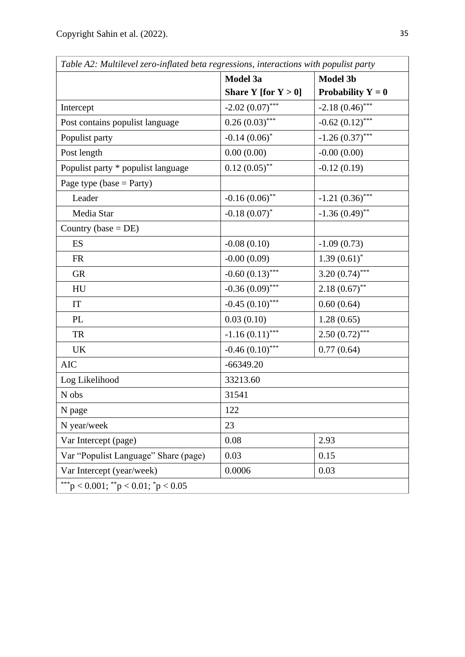|                                      | Model 3a               | <b>Model 3b</b>      |  |
|--------------------------------------|------------------------|----------------------|--|
|                                      | Share Y [for $Y > 0$ ] | Probability $Y = 0$  |  |
| Intercept                            | $-2.02(0.07)$ ***      | $-2.18(0.46)$ ***    |  |
| Post contains populist language      | $0.26(0.03)$ ***       | $-0.62$ $(0.12)$ *** |  |
| Populist party                       | $-0.14(0.06)^*$        | $-1.26(0.37)$ ***    |  |
| Post length                          | 0.00(0.00)             | $-0.00(0.00)$        |  |
| Populist party * populist language   | $0.12(0.05)$ **        | $-0.12(0.19)$        |  |
| Page type (base = Party)             |                        |                      |  |
| Leader                               | $-0.16(0.06)$ **       | $-1.21(0.36)$ ***    |  |
| Media Star                           | $-0.18(0.07)^*$        | $-1.36(0.49)$ **     |  |
| Country (base $= DE$ )               |                        |                      |  |
| ES                                   | $-0.08(0.10)$          | $-1.09(0.73)$        |  |
| <b>FR</b>                            | $-0.00(0.09)$          | $1.39(0.61)$ *       |  |
| <b>GR</b>                            | $-0.60(0.13)$ ***      | 3.20 $(0.74)$ ***    |  |
| HU                                   | $-0.36(0.09)$ ***      | $2.18(0.67)$ **      |  |
| IT                                   | $-0.45(0.10)$ ***      | 0.60(0.64)           |  |
| PL                                   | 0.03(0.10)             | 1.28(0.65)           |  |
| <b>TR</b>                            | $-1.16(0.11)$ ***      | $2.50(0.72)$ ***     |  |
| <b>UK</b>                            | $-0.46(0.10)$ ***      | 0.77(0.64)           |  |
| <b>AIC</b>                           | $-66349.20$            |                      |  |
| Log Likelihood                       | 33213.60               |                      |  |
| N obs                                | 31541                  |                      |  |
| N page                               | 122                    |                      |  |
| N year/week                          | 23                     |                      |  |
| Var Intercept (page)                 | 0.08                   | 2.93                 |  |
| Var "Populist Language" Share (page) | 0.03                   | 0.15                 |  |
| Var Intercept (year/week)            | 0.0006                 | 0.03                 |  |
| ***p < 0.001; **p < 0.01; *p < 0.05  |                        |                      |  |

*Table A2: Multilevel zero-inflated beta regressions, interactions with populist party*